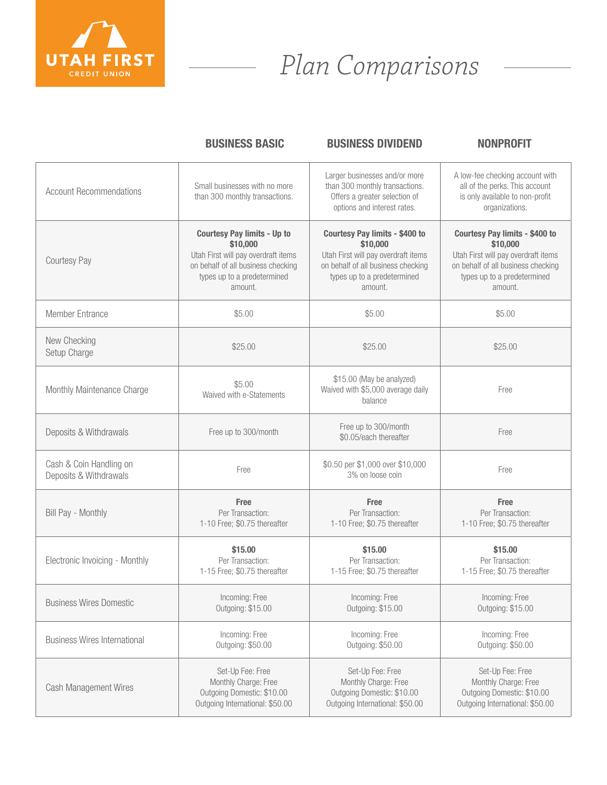

## *Plan Comparisons*

## BUSINESS BASIC BUSINESS DIVIDEND NONPROFIT

| <b>Account Recommendations</b>                    | Small businesses with no more<br>than 300 monthly transactions. | Larger businesses and/or more<br>than 300 monthly transactions.<br>Offers a greater selection of<br>options and interest rates. | A low-fee checking account with<br>all of the perks. This account<br>is only available to non-profit<br>organizations. |
|---------------------------------------------------|-----------------------------------------------------------------|---------------------------------------------------------------------------------------------------------------------------------|------------------------------------------------------------------------------------------------------------------------|
| <b>Courtesy Pay</b>                               | <b>Courtesy Pay limits - Up to</b>                              | Courtesy Pay limits - \$400 to                                                                                                  | Courtesy Pay limits - \$400 to                                                                                         |
|                                                   | \$10,000                                                        | \$10,000                                                                                                                        | \$10,000                                                                                                               |
|                                                   | Utah First will pay overdraft items                             | Utah First will pay overdraft items                                                                                             | Utah First will pay overdraft items                                                                                    |
|                                                   | on behalf of all business checking                              | on behalf of all business checking                                                                                              | on behalf of all business checking                                                                                     |
|                                                   | types up to a predetermined                                     | types up to a predetermined                                                                                                     | types up to a predetermined                                                                                            |
|                                                   | amount.                                                         | amount.                                                                                                                         | amount.                                                                                                                |
| <b>Member Entrance</b>                            | \$5.00                                                          | \$5.00                                                                                                                          | \$5.00                                                                                                                 |
| New Checking<br>Setup Charge                      | \$25.00                                                         | \$25.00                                                                                                                         | \$25.00                                                                                                                |
| Monthly Maintenance Charge                        | \$5.00<br>Waived with e-Statements                              | \$15.00 (May be analyzed)<br>Waived with \$5,000 average daily<br>balance                                                       | Free                                                                                                                   |
| Deposits & Withdrawals                            | Free up to 300/month                                            | Free up to 300/month<br>\$0.05/each thereafter                                                                                  | Free                                                                                                                   |
| Cash & Coin Handling on<br>Deposits & Withdrawals | Free                                                            | \$0.50 per \$1,000 over \$10,000<br>3% on loose coin                                                                            | Free                                                                                                                   |
| Bill Pay - Monthly                                | Free                                                            | Free                                                                                                                            | <b>Free</b>                                                                                                            |
|                                                   | Per Transaction:                                                | Per Transaction:                                                                                                                | Per Transaction:                                                                                                       |
|                                                   | 1-10 Free; \$0.75 thereafter                                    | 1-10 Free; \$0.75 thereafter                                                                                                    | 1-10 Free; \$0.75 thereafter                                                                                           |
| Electronic Invoicing - Monthly                    | \$15.00                                                         | \$15.00                                                                                                                         | \$15.00                                                                                                                |
|                                                   | Per Transaction:                                                | Per Transaction:                                                                                                                | Per Transaction:                                                                                                       |
|                                                   | 1-15 Free; \$0.75 thereafter                                    | 1-15 Free; \$0.75 thereafter                                                                                                    | 1-15 Free; \$0.75 thereafter                                                                                           |
| <b>Business Wires Domestic</b>                    | Incoming: Free                                                  | Incoming: Free                                                                                                                  | Incoming: Free                                                                                                         |
|                                                   | Outgoing: \$15.00                                               | Outgoing: \$15.00                                                                                                               | Outgoing: \$15.00                                                                                                      |
| <b>Business Wires International</b>               | Incoming: Free                                                  | Incoming: Free                                                                                                                  | Incoming: Free                                                                                                         |
|                                                   | Outgoing: \$50.00                                               | Outgoing: \$50.00                                                                                                               | Outgoing: \$50.00                                                                                                      |
| Cash Management Wires                             | Set-Up Fee: Free                                                | Set-Up Fee: Free                                                                                                                | Set-Up Fee: Free                                                                                                       |
|                                                   | Monthly Charge: Free                                            | Monthly Charge: Free                                                                                                            | Monthly Charge: Free                                                                                                   |
|                                                   | Outgoing Domestic: \$10.00                                      | Outgoing Domestic: \$10.00                                                                                                      | Outgoing Domestic: \$10.00                                                                                             |
|                                                   | Outgoing International: \$50.00                                 | Outgoing International: \$50.00                                                                                                 | Outgoing International: \$50.00                                                                                        |